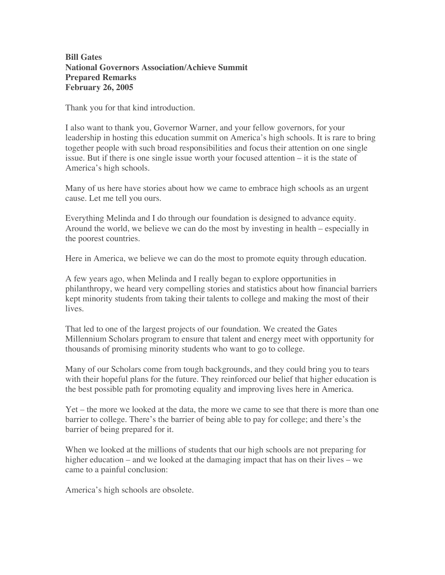## **Bill Gates National Governors Association/Achieve Summit Prepared Remarks February 26, 2005**

Thank you for that kind introduction.

I also want to thank you, Governor Warner, and your fellow governors, for your leadership in hosting this education summit on America's high schools. It is rare to bring together people with such broad responsibilities and focus their attention on one single issue. But if there is one single issue worth your focused attention – it is the state of America's high schools.

Many of us here have stories about how we came to embrace high schools as an urgent cause. Let me tell you ours.

Everything Melinda and I do through our foundation is designed to advance equity. Around the world, we believe we can do the most by investing in health – especially in the poorest countries.

Here in America, we believe we can do the most to promote equity through education.

A few years ago, when Melinda and I really began to explore opportunities in philanthropy, we heard very compelling stories and statistics about how financial barriers kept minority students from taking their talents to college and making the most of their lives.

That led to one of the largest projects of our foundation. We created the Gates Millennium Scholars program to ensure that talent and energy meet with opportunity for thousands of promising minority students who want to go to college.

Many of our Scholars come from tough backgrounds, and they could bring you to tears with their hopeful plans for the future. They reinforced our belief that higher education is the best possible path for promoting equality and improving lives here in America.

Yet – the more we looked at the data, the more we came to see that there is more than one barrier to college. There's the barrier of being able to pay for college; and there's the barrier of being prepared for it.

When we looked at the millions of students that our high schools are not preparing for higher education – and we looked at the damaging impact that has on their lives – we came to a painful conclusion:

America's high schools are obsolete.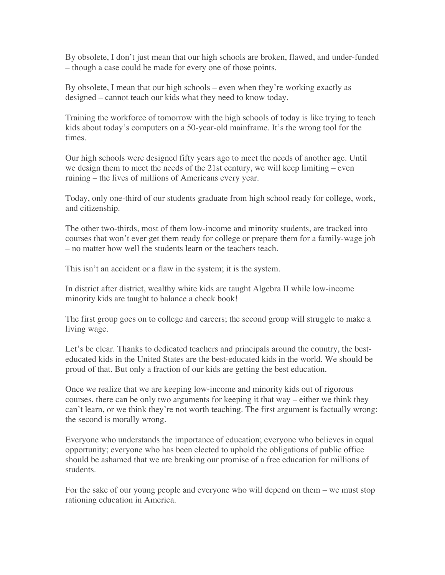By obsolete, I don't just mean that our high schools are broken, flawed, and under-funded – though a case could be made for every one of those points.

By obsolete, I mean that our high schools – even when they're working exactly as designed – cannot teach our kids what they need to know today.

Training the workforce of tomorrow with the high schools of today is like trying to teach kids about today's computers on a 50-year-old mainframe. It's the wrong tool for the times.

Our high schools were designed fifty years ago to meet the needs of another age. Until we design them to meet the needs of the 21st century, we will keep limiting – even ruining – the lives of millions of Americans every year.

Today, only one-third of our students graduate from high school ready for college, work, and citizenship.

The other two-thirds, most of them low-income and minority students, are tracked into courses that won't ever get them ready for college or prepare them for a family-wage job – no matter how well the students learn or the teachers teach.

This isn't an accident or a flaw in the system; it is the system.

In district after district, wealthy white kids are taught Algebra II while low-income minority kids are taught to balance a check book!

The first group goes on to college and careers; the second group will struggle to make a living wage.

Let's be clear. Thanks to dedicated teachers and principals around the country, the besteducated kids in the United States are the best-educated kids in the world. We should be proud of that. But only a fraction of our kids are getting the best education.

Once we realize that we are keeping low-income and minority kids out of rigorous courses, there can be only two arguments for keeping it that way – either we think they can't learn, or we think they're not worth teaching. The first argument is factually wrong; the second is morally wrong.

Everyone who understands the importance of education; everyone who believes in equal opportunity; everyone who has been elected to uphold the obligations of public office should be ashamed that we are breaking our promise of a free education for millions of students.

For the sake of our young people and everyone who will depend on them – we must stop rationing education in America.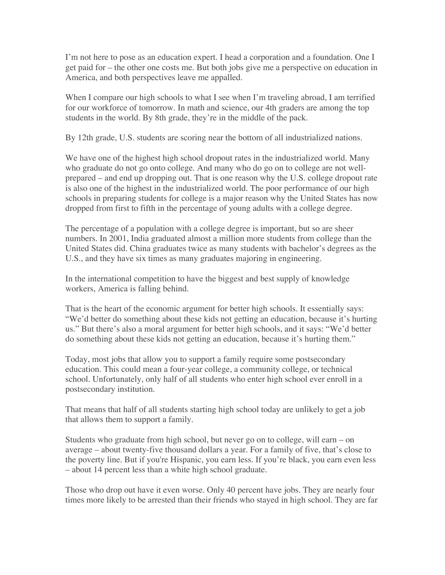I'm not here to pose as an education expert. I head a corporation and a foundation. One I get paid for – the other one costs me. But both jobs give me a perspective on education in America, and both perspectives leave me appalled.

When I compare our high schools to what I see when I'm traveling abroad, I am terrified for our workforce of tomorrow. In math and science, our 4th graders are among the top students in the world. By 8th grade, they're in the middle of the pack.

By 12th grade, U.S. students are scoring near the bottom of all industrialized nations.

We have one of the highest high school dropout rates in the industrialized world. Many who graduate do not go onto college. And many who do go on to college are not wellprepared – and end up dropping out. That is one reason why the U.S. college dropout rate is also one of the highest in the industrialized world. The poor performance of our high schools in preparing students for college is a major reason why the United States has now dropped from first to fifth in the percentage of young adults with a college degree.

The percentage of a population with a college degree is important, but so are sheer numbers. In 2001, India graduated almost a million more students from college than the United States did. China graduates twice as many students with bachelor's degrees as the U.S., and they have six times as many graduates majoring in engineering.

In the international competition to have the biggest and best supply of knowledge workers, America is falling behind.

That is the heart of the economic argument for better high schools. It essentially says: "We'd better do something about these kids not getting an education, because it's hurting us." But there's also a moral argument for better high schools, and it says: "We'd better do something about these kids not getting an education, because it's hurting them."

Today, most jobs that allow you to support a family require some postsecondary education. This could mean a four-year college, a community college, or technical school. Unfortunately, only half of all students who enter high school ever enroll in a postsecondary institution.

That means that half of all students starting high school today are unlikely to get a job that allows them to support a family.

Students who graduate from high school, but never go on to college, will earn – on average – about twenty-five thousand dollars a year. For a family of five, that's close to the poverty line. But if you're Hispanic, you earn less. If you're black, you earn even less – about 14 percent less than a white high school graduate.

Those who drop out have it even worse. Only 40 percent have jobs. They are nearly four times more likely to be arrested than their friends who stayed in high school. They are far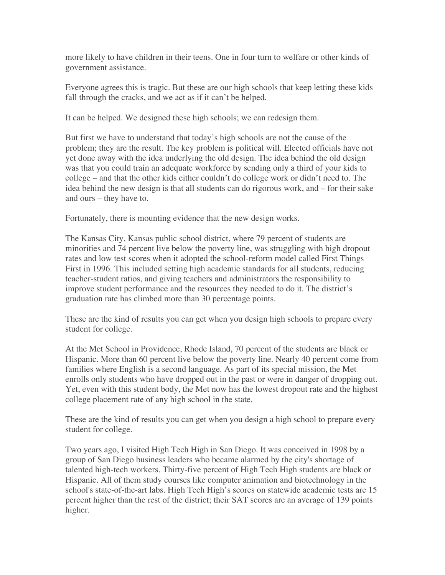more likely to have children in their teens. One in four turn to welfare or other kinds of government assistance.

Everyone agrees this is tragic. But these are our high schools that keep letting these kids fall through the cracks, and we act as if it can't be helped.

It can be helped. We designed these high schools; we can redesign them.

But first we have to understand that today's high schools are not the cause of the problem; they are the result. The key problem is political will. Elected officials have not yet done away with the idea underlying the old design. The idea behind the old design was that you could train an adequate workforce by sending only a third of your kids to college – and that the other kids either couldn't do college work or didn't need to. The idea behind the new design is that all students can do rigorous work, and – for their sake and ours – they have to.

Fortunately, there is mounting evidence that the new design works.

The Kansas City, Kansas public school district, where 79 percent of students are minorities and 74 percent live below the poverty line, was struggling with high dropout rates and low test scores when it adopted the school-reform model called First Things First in 1996. This included setting high academic standards for all students, reducing teacher-student ratios, and giving teachers and administrators the responsibility to improve student performance and the resources they needed to do it. The district's graduation rate has climbed more than 30 percentage points.

These are the kind of results you can get when you design high schools to prepare every student for college.

At the Met School in Providence, Rhode Island, 70 percent of the students are black or Hispanic. More than 60 percent live below the poverty line. Nearly 40 percent come from families where English is a second language. As part of its special mission, the Met enrolls only students who have dropped out in the past or were in danger of dropping out. Yet, even with this student body, the Met now has the lowest dropout rate and the highest college placement rate of any high school in the state.

These are the kind of results you can get when you design a high school to prepare every student for college.

Two years ago, I visited High Tech High in San Diego. It was conceived in 1998 by a group of San Diego business leaders who became alarmed by the city's shortage of talented high-tech workers. Thirty-five percent of High Tech High students are black or Hispanic. All of them study courses like computer animation and biotechnology in the school's state-of-the-art labs. High Tech High's scores on statewide academic tests are 15 percent higher than the rest of the district; their SAT scores are an average of 139 points higher.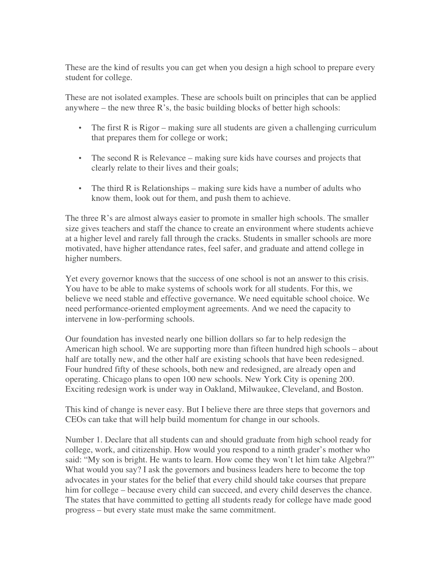These are the kind of results you can get when you design a high school to prepare every student for college.

These are not isolated examples. These are schools built on principles that can be applied anywhere  $-$  the new three  $R$ 's, the basic building blocks of better high schools:

- The first R is Rigor making sure all students are given a challenging curriculum that prepares them for college or work;
- The second R is Relevance making sure kids have courses and projects that clearly relate to their lives and their goals;
- The third R is Relationships making sure kids have a number of adults who know them, look out for them, and push them to achieve.

The three R's are almost always easier to promote in smaller high schools. The smaller size gives teachers and staff the chance to create an environment where students achieve at a higher level and rarely fall through the cracks. Students in smaller schools are more motivated, have higher attendance rates, feel safer, and graduate and attend college in higher numbers.

Yet every governor knows that the success of one school is not an answer to this crisis. You have to be able to make systems of schools work for all students. For this, we believe we need stable and effective governance. We need equitable school choice. We need performance-oriented employment agreements. And we need the capacity to intervene in low-performing schools.

Our foundation has invested nearly one billion dollars so far to help redesign the American high school. We are supporting more than fifteen hundred high schools – about half are totally new, and the other half are existing schools that have been redesigned. Four hundred fifty of these schools, both new and redesigned, are already open and operating. Chicago plans to open 100 new schools. New York City is opening 200. Exciting redesign work is under way in Oakland, Milwaukee, Cleveland, and Boston.

This kind of change is never easy. But I believe there are three steps that governors and CEOs can take that will help build momentum for change in our schools.

Number 1. Declare that all students can and should graduate from high school ready for college, work, and citizenship. How would you respond to a ninth grader's mother who said: "My son is bright. He wants to learn. How come they won't let him take Algebra?" What would you say? I ask the governors and business leaders here to become the top advocates in your states for the belief that every child should take courses that prepare him for college – because every child can succeed, and every child deserves the chance. The states that have committed to getting all students ready for college have made good progress – but every state must make the same commitment.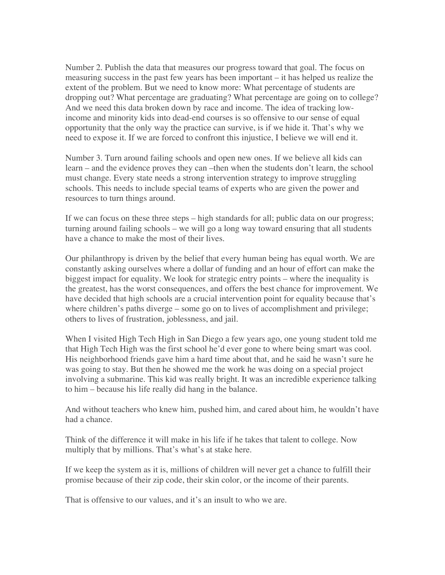Number 2. Publish the data that measures our progress toward that goal. The focus on measuring success in the past few years has been important – it has helped us realize the extent of the problem. But we need to know more: What percentage of students are dropping out? What percentage are graduating? What percentage are going on to college? And we need this data broken down by race and income. The idea of tracking lowincome and minority kids into dead-end courses is so offensive to our sense of equal opportunity that the only way the practice can survive, is if we hide it. That's why we need to expose it. If we are forced to confront this injustice, I believe we will end it.

Number 3. Turn around failing schools and open new ones. If we believe all kids can learn – and the evidence proves they can –then when the students don't learn, the school must change. Every state needs a strong intervention strategy to improve struggling schools. This needs to include special teams of experts who are given the power and resources to turn things around.

If we can focus on these three steps – high standards for all; public data on our progress; turning around failing schools – we will go a long way toward ensuring that all students have a chance to make the most of their lives.

Our philanthropy is driven by the belief that every human being has equal worth. We are constantly asking ourselves where a dollar of funding and an hour of effort can make the biggest impact for equality. We look for strategic entry points – where the inequality is the greatest, has the worst consequences, and offers the best chance for improvement. We have decided that high schools are a crucial intervention point for equality because that's where children's paths diverge – some go on to lives of accomplishment and privilege; others to lives of frustration, joblessness, and jail.

When I visited High Tech High in San Diego a few years ago, one young student told me that High Tech High was the first school he'd ever gone to where being smart was cool. His neighborhood friends gave him a hard time about that, and he said he wasn't sure he was going to stay. But then he showed me the work he was doing on a special project involving a submarine. This kid was really bright. It was an incredible experience talking to him – because his life really did hang in the balance.

And without teachers who knew him, pushed him, and cared about him, he wouldn't have had a chance.

Think of the difference it will make in his life if he takes that talent to college. Now multiply that by millions. That's what's at stake here.

If we keep the system as it is, millions of children will never get a chance to fulfill their promise because of their zip code, their skin color, or the income of their parents.

That is offensive to our values, and it's an insult to who we are.